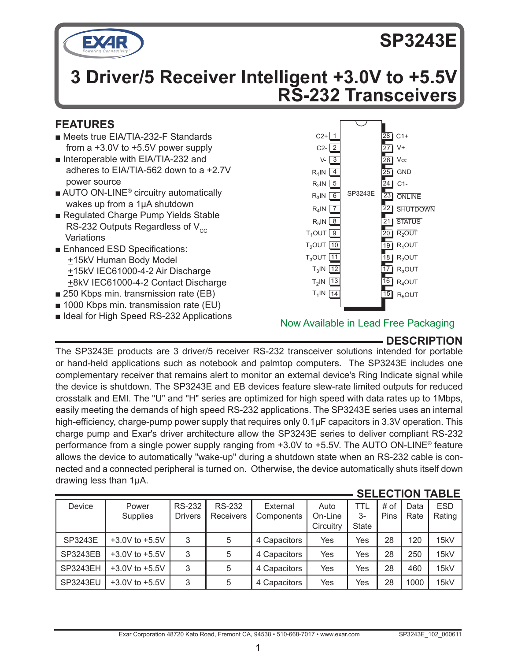

# **SP3243E**

# **3 Driver/5 Receiver Intelligent +3.0V to +5.5V RS-232 Transceivers**

# **FEATURES**

- Meets true EIA/TIA-232-F Standards from a +3.0V to +5.5V power supply
- Interoperable with EIA/TIA-232 and adheres to EIA/TIA-562 down to a +2.7V power source
- AUTO ON-LINE<sup>®</sup> circuitry automatically wakes up from a 1µA shutdown
- Regulated Charge Pump Yields Stable RS-232 Outputs Regardless of  $V_{cc}$ **Variations**
- Enhanced ESD Specifications: +15kV Human Body Model +15kV IEC61000-4-2 Air Discharge +8kV IEC61000-4-2 Contact Discharge
- 250 Kbps min. transmission rate (EB)
- 1000 Kbps min. transmission rate (EU)
- Ideal for High Speed RS-232 Applications



## Now Available in Lead Free Packaging

# **DESCRIPTION**

The SP3243E products are 3 driver/5 receiver RS-232 transceiver solutions intended for portable or hand-held applications such as notebook and palmtop computers. The SP3243E includes one complementary receiver that remains alert to monitor an external device's Ring Indicate signal while the device is shutdown. The SP3243E and EB devices feature slew-rate limited outputs for reduced crosstalk and EMI. The "U" and "H" series are optimized for high speed with data rates up to 1Mbps, easily meeting the demands of high speed RS-232 applications. The SP3243E series uses an internal high-efficiency, charge-pump power supply that requires only 0.1µF capacitors in 3.3V operation. This charge pump and Exar's driver architecture allow the SP3243E series to deliver compliant RS-232 performance from a single power supply ranging from +3.0V to +5.5V. The AUTO ON-LINE® feature allows the device to automatically "wake-up" during a shutdown state when an RS-232 cable is connected and a connected peripheral is turned on. Otherwise, the device automatically shuts itself down drawing less than 1µA.

|          |                    |                |                  |              |           |              | <b>SELEUTIUN</b> |      | IABLE      |
|----------|--------------------|----------------|------------------|--------------|-----------|--------------|------------------|------|------------|
| Device   | Power              | <b>RS-232</b>  | <b>RS-232</b>    | External     | Auto      | TTL          | # of             | Data | <b>ESD</b> |
|          | Supplies           | <b>Drivers</b> | <b>Receivers</b> | Components   | On-Line   | $3-$         | Pins             | Rate | Rating     |
|          |                    |                |                  |              | Circuitry | <b>State</b> |                  |      |            |
| SP3243E  | $+3.0V$ to $+5.5V$ | 3              | 5                | 4 Capacitors | Yes       | Yes          | 28               | 120  | 15kV       |
| SP3243EB | $+3.0V$ to $+5.5V$ | 3              | 5                | 4 Capacitors | Yes       | Yes          | 28               | 250  | 15kV       |
| SP3243EH | $+3.0V$ to $+5.5V$ | 3              | 5                | 4 Capacitors | Yes       | Yes          | 28               | 460  | 15kV       |
| SP3243EU | $+3.0V$ to $+5.5V$ | 3              | 5                | 4 Capacitors | Yes       | Yes          | 28               | 1000 | 15kV       |

## **SELECTION TABLE**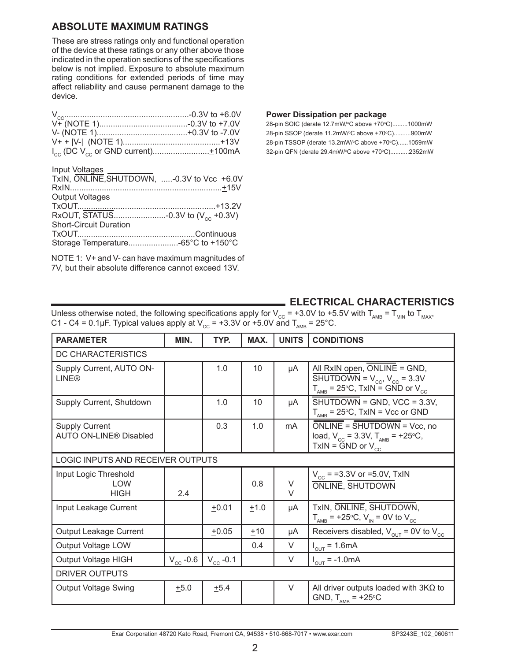### **ABSOLUTE MAXIMUM RATINGS**

These are stress ratings only and functional operation of the device at these ratings or any other above those indicated in the operation sections of the specifications below is not implied. Exposure to absolute maximum rating conditions for extended periods of time may affect reliability and cause permanent damage to the device.

#### Input Voltages

| TxIN, ONLINE, SHUTDOWN, -0.3V to Vcc +6.0V |  |
|--------------------------------------------|--|
|                                            |  |
| <b>Output Voltages</b>                     |  |
|                                            |  |
|                                            |  |
| <b>Short-Circuit Duration</b>              |  |
|                                            |  |
|                                            |  |
|                                            |  |

NOTE 1: V+ and V- can have maximum magnitudes of 7V, but their absolute difference cannot exceed 13V.

#### **Power Dissipation per package**

| 28-pin SOIC (derate 12.7mW/°C above +70°C)1000mW  |
|---------------------------------------------------|
| 28-pin SSOP (derate 11.2mW/°C above +70°C)900mW   |
| 28-pin TSSOP (derate 13.2mW/°C above +70°C)1059mW |
| 32-pin QFN (derate 29.4mW/°C above +70°C)2352mW   |

#### **ELECTRICAL CHARACTERISTICS**

Unless otherwise noted, the following specifications apply for  $V_{CC}$  = +3.0V to +5.5V with T<sub>AMB</sub> = T<sub>MIN</sub> to T<sub>MAX</sub>, C1 - C4 = 0.1µF. Typical values apply at  $V_{CC}$  = +3.3V or +5.0V and  $T_{AMB}$  = 25°C.

| <b>PARAMETER</b>                                    | MIN.          | TYP.              | MAX.   | <b>UNITS</b>     | <b>CONDITIONS</b>                                                                                                                                                                                       |  |  |
|-----------------------------------------------------|---------------|-------------------|--------|------------------|---------------------------------------------------------------------------------------------------------------------------------------------------------------------------------------------------------|--|--|
| DC CHARACTERISTICS                                  |               |                   |        |                  |                                                                                                                                                                                                         |  |  |
| Supply Current, AUTO ON-<br><b>LINE®</b>            |               | 1.0               | 10     | μA               | All RxIN open, ONLINE = GND,<br>$\overline{\text{SHUTDOWN}} = V_{\text{cc}}$ , $V_{\text{cc}} = 3.3 \text{V}$<br>$T_{\text{AMB}} = 25^{\circ} \text{C}$ , $\text{TxIN} = \text{GND}$ or $V_{\text{cc}}$ |  |  |
| Supply Current, Shutdown                            |               | 1.0               | 10     | μA               | $\overline{\text{SHUTDOWN}} = \text{GND}$ , VCC = 3.3V,<br>$T_{\text{AMB}}$ = 25°C, TxIN = Vcc or GND                                                                                                   |  |  |
| <b>Supply Current</b><br>AUTO ON-LINE® Disabled     |               | 0.3               | 1.0    | mA               | ONLINE = SHUTDOWN = Vcc, no<br>load, $V_{cc}$ = 3.3V, $T_{AMB}$ = +25°C,<br>TxIN = $\tilde{G}ND$ or $V_{\text{cc}}$                                                                                     |  |  |
| LOGIC INPUTS AND RECEIVER OUTPUTS                   |               |                   |        |                  |                                                                                                                                                                                                         |  |  |
| Input Logic Threshold<br><b>I OW</b><br><b>HIGH</b> | 2.4           |                   | 0.8    | $\vee$<br>$\vee$ | $V_{\text{cc}}$ = =3.3V or =5.0V, TxIN<br><b>ONLINE. SHUTDOWN</b>                                                                                                                                       |  |  |
| Input Leakage Current                               |               | $+0.01$           | $+1.0$ | μA               | TxIN, ONLINE, SHUTDOWN,<br>$T_{\text{AMB}}$ = +25°C, V <sub>IN</sub> = 0V to V <sub>CC</sub>                                                                                                            |  |  |
| Output Leakage Current                              |               | $+0.05$           | ±10    | μA               | Receivers disabled, $V_{\text{out}}$ = 0V to $V_{\text{cc}}$                                                                                                                                            |  |  |
| Output Voltage LOW                                  |               |                   | 0.4    | V                | $I_{\text{out}} = 1.6 \text{mA}$                                                                                                                                                                        |  |  |
| Output Voltage HIGH                                 | $V_{cc}$ -0.6 | $V_{\rm cc}$ -0.1 |        | V                | $I_{\text{OUT}} = -1.0 \text{mA}$                                                                                                                                                                       |  |  |
| DRIVER OUTPUTS                                      |               |                   |        |                  |                                                                                                                                                                                                         |  |  |
| <b>Output Voltage Swing</b>                         | $+5.0$        | $+5.4$            |        | $\vee$           | All driver outputs loaded with $3K\Omega$ to<br>GND, $T_{\text{AMB}}$ = +25°C                                                                                                                           |  |  |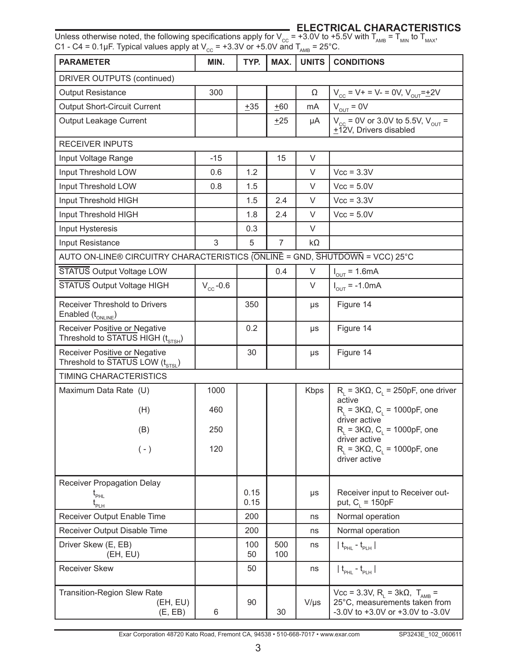### **ELECTRICAL CHARACTERISTICS**

Unless otherwise noted, the following specifications apply for V<sub>cc</sub> = +3.0V to +5.5V with T<sub>AMB</sub> = T<sub>MIN</sub> to T<sub>MAX</sub>, C1 - C4 = 0.1µF. Typical values apply at V $_{\rm CC}$  = +3.3V or +5.0V and T $_{\rm AMB}$  = 25°C.

| <b>PARAMETER</b>                                                               | ◡◡<br>MIN.    | TYP.         | MAX.       | AMB<br><b>UNITS</b> | <b>CONDITIONS</b>                                                                                                         |  |  |
|--------------------------------------------------------------------------------|---------------|--------------|------------|---------------------|---------------------------------------------------------------------------------------------------------------------------|--|--|
| DRIVER OUTPUTS (continued)                                                     |               |              |            |                     |                                                                                                                           |  |  |
| <b>Output Resistance</b>                                                       | 300           |              |            | Ω                   | $V_{cc}$ = V + = V - = 0V, $V_{OUT}$ = $\pm$ 2V                                                                           |  |  |
| <b>Output Short-Circuit Current</b>                                            |               | ±35          | ±60        | mA                  | $V_{\text{OUT}} = 0V$                                                                                                     |  |  |
| Output Leakage Current                                                         |               |              | $+25$      | μA                  | $V_{\text{cc}}$ = 0V or 3.0V to 5.5V, $V_{\text{OUT}}$ =<br>+12V, Drivers disabled                                        |  |  |
| <b>RECEIVER INPUTS</b>                                                         |               |              |            |                     |                                                                                                                           |  |  |
| Input Voltage Range                                                            | $-15$         |              | 15         | V                   |                                                                                                                           |  |  |
| Input Threshold LOW                                                            | 0.6           | 1.2          |            | V                   | $Vcc = 3.3V$                                                                                                              |  |  |
| Input Threshold LOW                                                            | 0.8           | 1.5          |            | V                   | $Vcc = 5.0V$                                                                                                              |  |  |
| Input Threshold HIGH                                                           |               | 1.5          | 2.4        | V                   | $Vcc = 3.3V$                                                                                                              |  |  |
| Input Threshold HIGH                                                           |               | 1.8          | 2.4        | V                   | $Vcc = 5.0V$                                                                                                              |  |  |
| Input Hysteresis                                                               |               | 0.3          |            | V                   |                                                                                                                           |  |  |
| Input Resistance                                                               | 3             | 5            | 7          | kΩ                  |                                                                                                                           |  |  |
| AUTO ON-LINE® CIRCUITRY CHARACTERISTICS (ONLINE = GND, SHUTDOWN = VCC) 25°C    |               |              |            |                     |                                                                                                                           |  |  |
| STATUS Output Voltage LOW                                                      |               |              | 0.4        | V                   | $I_{OUT} = 1.6mA$                                                                                                         |  |  |
| STATUS Output Voltage HIGH                                                     | $V_{cc}$ -0.6 |              |            | V                   | $I_{\text{out}} = -1.0 \text{mA}$                                                                                         |  |  |
| Receiver Threshold to Drivers<br>Enabled (t <sub>ONLINE</sub> )                |               | 350          |            | μs                  | Figure 14                                                                                                                 |  |  |
| Receiver Positive or Negative<br>Threshold to STATUS HIGH (t <sub>STSH</sub> ) |               | 0.2          |            | μs                  | Figure 14                                                                                                                 |  |  |
| Receiver Positive or Negative<br>Threshold to STATUS LOW (t <sub>STSL</sub> )  |               | 30           |            | μs                  | Figure 14                                                                                                                 |  |  |
| TIMING CHARACTERISTICS                                                         |               |              |            |                     |                                                                                                                           |  |  |
| Maximum Data Rate (U)                                                          | 1000          |              |            | Kbps                | $R_{L}$ = 3K $\Omega$ , C <sub>L</sub> = 250pF, one driver                                                                |  |  |
| (H)                                                                            | 460           |              |            |                     | active<br>$R_L$ = 3KΩ, C <sub>L</sub> = 1000pF, one<br>driver active                                                      |  |  |
| (B)                                                                            | 250           |              |            |                     | $RL$ = 3KΩ, C <sub>L</sub> = 1000pF, one<br>driver active                                                                 |  |  |
| $(-)$                                                                          | 120           |              |            |                     | $R_1 = 3K\Omega$ , C <sub>1</sub> = 1000pF, one<br>driver active                                                          |  |  |
| Receiver Propagation Delay                                                     |               |              |            |                     |                                                                                                                           |  |  |
| $t_{\text{\tiny{PHL}}}$<br>$\mathfrak{t}_{\scriptscriptstyle{\sf PLH}}$        |               | 0.15<br>0.15 |            | μs                  | Receiver input to Receiver out-<br>put, $C_i = 150pF$                                                                     |  |  |
| Receiver Output Enable Time                                                    |               | 200          |            | ns                  | Normal operation                                                                                                          |  |  |
| Receiver Output Disable Time                                                   |               | 200          |            | ns                  | Normal operation                                                                                                          |  |  |
| Driver Skew (E, EB)<br>(EH, EU)                                                |               | 100<br>50    | 500<br>100 | ns                  | $t_{\text{PHL}}$ - $t_{\text{PLH}}$                                                                                       |  |  |
| <b>Receiver Skew</b>                                                           |               | 50           |            | ns                  | $ t_{\text{PHL}} - t_{\text{PLH}} $                                                                                       |  |  |
| <b>Transition-Region Slew Rate</b><br>(EH, EU)<br>(E, EB)                      | 6             | 90           | 30         | $V/\mu s$           | Vcc = 3.3V, R <sub>i</sub> = 3kΩ, T <sub>AMB</sub> =<br>25°C, measurements taken from<br>-3.0V to +3.0V or +3.0V to -3.0V |  |  |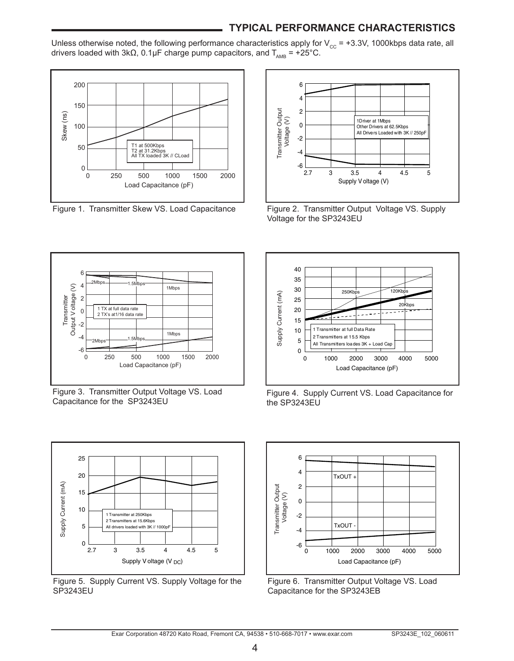## **TYPICAL PERFORMANCE CHARACTERISTICS**

Unless otherwise noted, the following performance characteristics apply for  $V_{\text{cc}}$  = +3.3V, 1000kbps data rate, all drivers loaded with 3kΩ, 0.1µF charge pump capacitors, and  $T_{\text{AMB}}$  = +25°C.



Figure 1. Transmitter Skew VS. Load Capacitance



Figure 2. Transmitter Output Voltage VS. Supply Voltage for the SP3243EU



Figure 3. Transmitter Output Voltage VS. Load Capacitance for the SP3243EU



Figure 4. Supply Current VS. Load Capacitance for the SP3243EU



Figure 5. Supply Current VS. Supply Voltage for the SP3243EU



Figure 6. Transmitter Output Voltage VS. Load Capacitance for the SP3243EB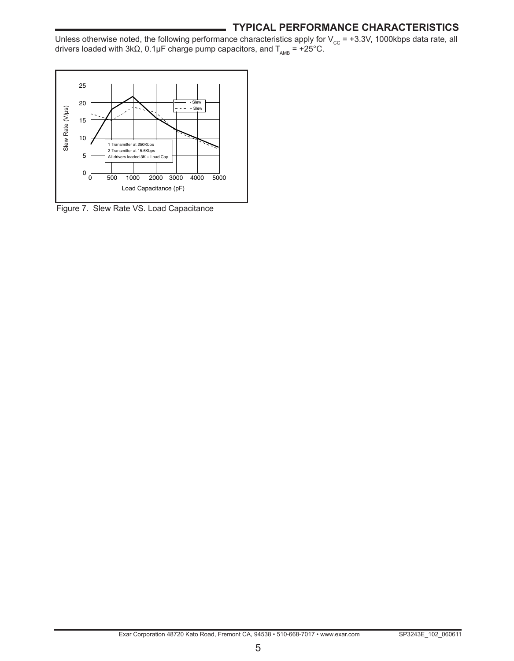#### **TYPICAL PERFORMANCE CHARACTERISTICS**

Unless otherwise noted, the following performance characteristics apply for V<sub>cc</sub> = +3.3V, 1000kbps data rate, all drivers loaded with 3kΩ, 0.1µF charge pump capacitors, and T<sub>AMB</sub> = +25°C.



Figure 7. Slew Rate VS. Load Capacitance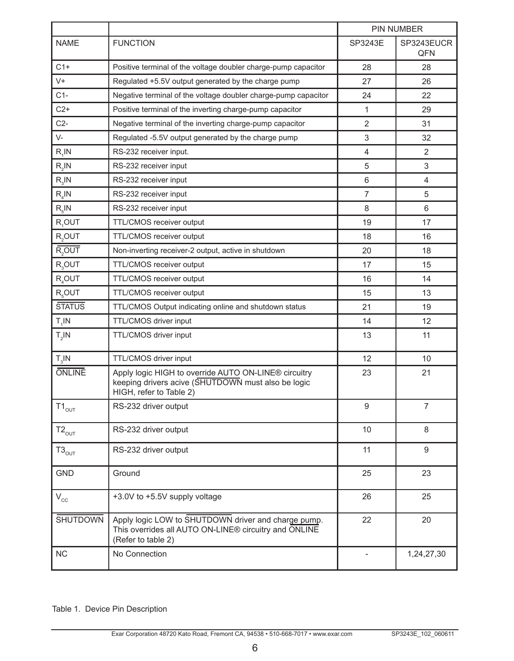|                    |                                                                                                                                       |                | PIN NUMBER        |
|--------------------|---------------------------------------------------------------------------------------------------------------------------------------|----------------|-------------------|
| <b>NAME</b>        | <b>FUNCTION</b>                                                                                                                       | SP3243E        | SP3243EUCR<br>QFN |
| $C1+$              | Positive terminal of the voltage doubler charge-pump capacitor                                                                        | 28             | 28                |
| $V +$              | Regulated +5.5V output generated by the charge pump                                                                                   | 27             | 26                |
| $C1-$              | Negative terminal of the voltage doubler charge-pump capacitor                                                                        | 24             | 22                |
| $C2+$              | Positive terminal of the inverting charge-pump capacitor                                                                              | 1              | 29                |
| $C2-$              | Negative terminal of the inverting charge-pump capacitor                                                                              | $\overline{2}$ | 31                |
| $V -$              | Regulated -5.5V output generated by the charge pump                                                                                   | 3              | 32                |
| $R_1$ IN           | RS-232 receiver input.                                                                                                                | 4              | $\overline{2}$    |
| $R,$ IN            | RS-232 receiver input                                                                                                                 | 5              | 3                 |
| $R_{\rm q}$ IN     | RS-232 receiver input                                                                                                                 | 6              | 4                 |
| $R_{\rm A}$ IN     | RS-232 receiver input                                                                                                                 | $\overline{7}$ | 5                 |
| $R_{c}$ IN         | RS-232 receiver input                                                                                                                 | 8              | 6                 |
| R <sub>1</sub> OUT | TTL/CMOS receiver output                                                                                                              | 19             | 17                |
| R <sub>2</sub> OUT | TTL/CMOS receiver output                                                                                                              | 18             | 16                |
| R <sub>2</sub> OUT | Non-inverting receiver-2 output, active in shutdown                                                                                   | 20             | 18                |
| $R_3$ OUT          | TTL/CMOS receiver output                                                                                                              | 17             | 15                |
| $R_{4}$ OUT        | TTL/CMOS receiver output                                                                                                              | 16             | 14                |
| R <sub>c</sub> OUT | TTL/CMOS receiver output                                                                                                              | 15             | 13                |
| <b>STATUS</b>      | TTL/CMOS Output indicating online and shutdown status                                                                                 | 21             | 19                |
| $T_1$ IN           | TTL/CMOS driver input                                                                                                                 | 14             | 12                |
| $T_{2}$ IN         | TTL/CMOS driver input                                                                                                                 | 13             | 11                |
| $T_{3}$ IN         | TTL/CMOS driver input                                                                                                                 | 12             | 10                |
| <b>ONLINE</b>      | Apply logic HIGH to override AUTO ON-LINE® circuitry<br>keeping drivers acive (SHUTDOWN must also be logic<br>HIGH, refer to Table 2) | 23             | 21                |
| $T1_{\text{OUT}}$  | RS-232 driver output                                                                                                                  | 9              | 7                 |
| $T2_{\text{OUT}}$  | RS-232 driver output                                                                                                                  | 10             | 8                 |
| $T3_{\text{OUT}}$  | RS-232 driver output                                                                                                                  | 11             | 9                 |
| <b>GND</b>         | Ground                                                                                                                                | 25             | 23                |
| $V_{cc}$           | +3.0V to +5.5V supply voltage                                                                                                         | 26             | 25                |
| <b>SHUTDOWN</b>    | Apply logic LOW to SHUTDOWN driver and charge pump.<br>This overrides all AUTO ON-LINE® circuitry and ONLINE<br>(Refer to table 2)    | 22             | 20                |
| <b>NC</b>          | No Connection                                                                                                                         |                | 1,24,27,30        |

Table 1. Device Pin Description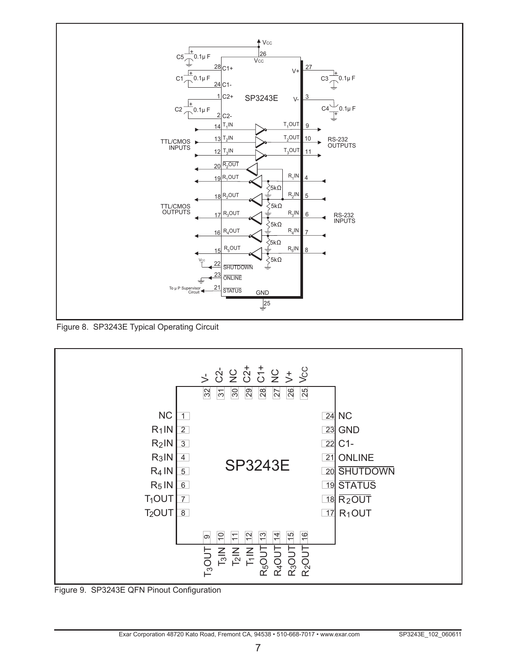

Figure 8. SP3243E Typical Operating Circuit



Figure 9. SP3243E QFN Pinout Configuration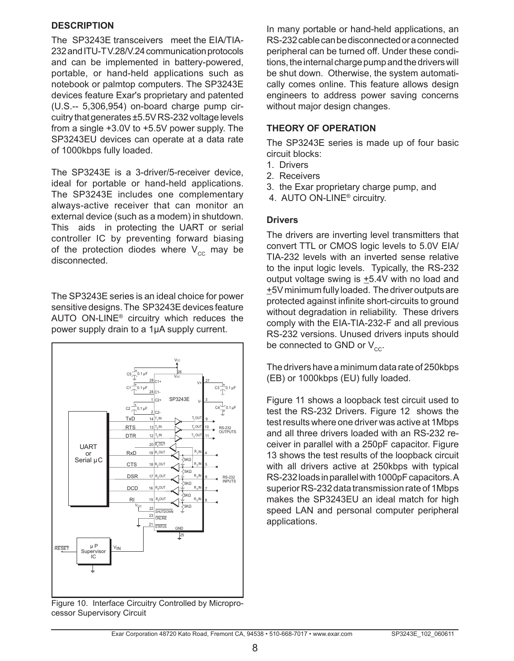#### **DESCRIPTION**

The SP3243E transceivers meet the EIA/TIA-232 and ITU-T V.28/V.24 communication protocols and can be implemented in battery-powered, portable, or hand-held applications such as notebook or palmtop computers. The SP3243E devices feature Exar's proprietary and patented (U.S.‑‑ 5,306,954) on-board charge pump circuitry that generates ±5.5V RS-232 voltage levels from a single +3.0V to +5.5V power supply. The SP3243EU devices can operate at a data rate of 1000kbps fully loaded.

The SP3243E is a 3-driver/5-receiver device, ideal for portable or hand-held applications. The SP3243E includes one complementary always-active receiver that can monitor an external device (such as a modem) in shutdown. This aids in protecting the UART or serial controller IC by preventing forward biasing of the protection diodes where  $V_{cc}$  may be disconnected.

The SP3243E series is an ideal choice for power sensitive designs. The SP3243E devices feature AUTO ON-LINE® circuitry which reduces the power supply drain to a 1µA supply current.



Figure 10. Interface Circuitry Controlled by Microprocessor Supervisory Circuit

In many portable or hand-held applications, an RS-232 cable can be disconnected or a connected peripheral can be turned off. Under these conditions, the internal charge pump and the drivers will be shut down. Otherwise, the system automatically comes online. This feature allows design engineers to address power saving concerns without major design changes.

#### **THEORY OF OPERATION**

The SP3243E series is made up of four basic circuit blocks:

- 1. Drivers
- 2. Receivers
- 3. the Exar proprietary charge pump, and
- 4. AUTO ON-LINE® circuitry.

#### **Drivers**

The drivers are inverting level transmitters that convert TTL or CMOS logic levels to 5.0V EIA/ TIA-232 levels with an inverted sense relative to the input logic levels. Typically, the RS-232 output voltage swing is  $\pm$ 5.4V with no load and +5V minimum fully loaded. The driver outputs are protected against infinite short-circuits to ground without degradation in reliability. These drivers comply with the EIA-TIA-232-F and all previous RS-232 versions. Unused drivers inputs should be connected to GND or  $V_{cc}$ .

The drivers have a minimum data rate of 250kbps (EB) or 1000kbps (EU) fully loaded.

Figure 11 shows a loopback test circuit used to test the RS-232 Drivers. Figure 12 shows the test results where one driver was active at 1Mbps and all three drivers loaded with an RS-232 receiver in parallel with a 250pF capacitor. Figure 13 shows the test results of the loopback circuit with all drivers active at 250kbps with typical RS-232 loads in parallel with 1000pF capacitors. A superior RS-232 data transmission rate of 1Mbps makes the SP3243EU an ideal match for high speed LAN and personal computer peripheral applications.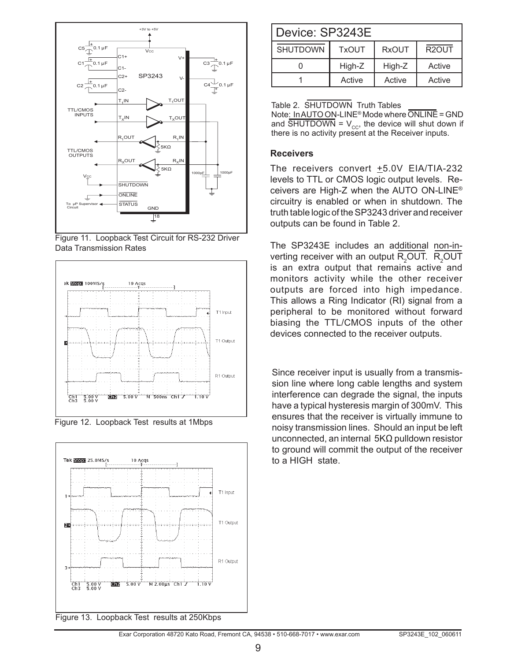

Figure 11. Loopback Test Circuit for RS-232 Driver Data Transmission Rates



Figure 12. Loopback Test results at 1Mbps



| Device: SP3243E                                                       |        |        |        |  |  |  |
|-----------------------------------------------------------------------|--------|--------|--------|--|--|--|
| R <sub>2</sub> OUT<br><b>SHUTDOWN</b><br><b>RxOUT</b><br><b>TxOUT</b> |        |        |        |  |  |  |
|                                                                       | High-Z | High-Z | Active |  |  |  |
| Active<br>Active<br>Active                                            |        |        |        |  |  |  |

#### Table 2. SHUTDOWN Truth Tables

Note: In AUTO ON-LINE® Mode where ONLINE = GND and  $\overline{\text{SHUTDOWN}} = V_{cc}$ , the device will shut down if there is no activity present at the Receiver inputs.

#### **Receivers**

The receivers convert +5.0V EIA/TIA-232 levels to TTL or CMOS logic output levels. Receivers are High-Z when the AUTO ON-LINE® circuitry is enabled or when in shutdown. The truth table logic of the SP3243 driver and receiver outputs can be found in Table 2.

The SP3243E includes an additional non-inverting receiver with an output  $R_2$ OUT.  $R_2$ OUT is an extra output that remains active and monitors activity while the other receiver outputs are forced into high impedance. This allows a Ring Indicator (RI) signal from a peripheral to be monitored without forward biasing the TTL/CMOS inputs of the other devices connected to the receiver outputs.

Since receiver input is usually from a transmission line where long cable lengths and system interference can degrade the signal, the inputs have a typical hysteresis margin of 300mV. This ensures that the receiver is virtually immune to noisy transmission lines. Should an input be left unconnected, an internal 5KΩ pulldown resistor to ground will commit the output of the receiver to a HIGH state.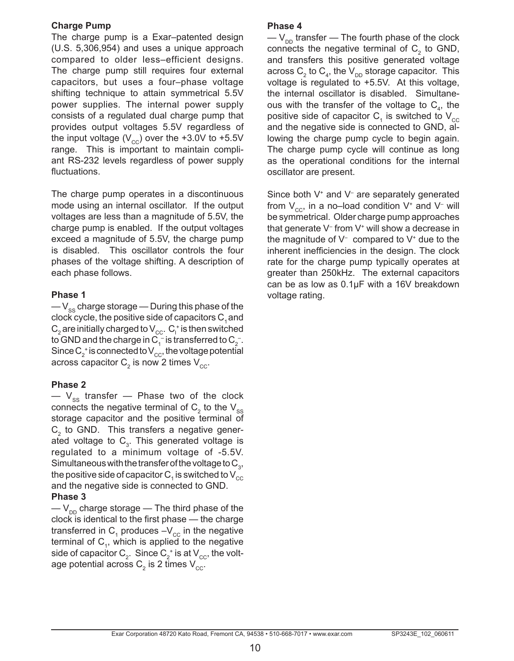#### **Charge Pump**

The charge pump is a Exar–patented design (U.S. 5,306,954) and uses a unique approach compared to older less–efficient designs. The charge pump still requires four external capacitors, but uses a four–phase voltage shifting technique to attain symmetrical 5.5V power supplies. The internal power supply consists of a regulated dual charge pump that provides output voltages 5.5V regardless of the input voltage  $(V_{cc})$  over the +3.0V to +5.5V range. This is important to maintain compliant RS-232 levels regardless of power supply fluctuations.

The charge pump operates in a discontinuous mode using an internal oscillator. If the output voltages are less than a magnitude of 5.5V, the charge pump is enabled. If the output voltages exceed a magnitude of 5.5V, the charge pump is disabled. This oscillator controls the four phases of the voltage shifting. A description of each phase follows.

#### **Phase 1**

 $-V_{ss}$  charge storage — During this phase of the clock cycle, the positive side of capacitors  $C_1$  and  $\mathsf{C}_2$  are initially charged to  $\mathsf{V}_{\mathrm{cc}}$ .  $\mathsf{C}_\mathsf{l}^*$  is then switched to GND and the charge in C<sub>1</sub>  $\overline{\ }$  is transferred to C<sub>2</sub>  $\overline{\ }$  . Since  $\mathsf{C}_2^{\scriptscriptstyle +}$  is connected to  $\mathsf{V}_{\mathrm{cc}}^{\scriptscriptstyle -}$ , the voltage potential across capacitor  $\textsf{C}_\textsf{2}$  is now 2 times  $\textsf{V}_\textsf{cc}.$ 

#### **Phase 2**

 $-$  V<sub>ss</sub> transfer  $-$  Phase two of the clock connects the negative terminal of  $\textsf{C}_\textsf{2}$  to the  $\textsf{V}_\textsf{ss}$ storage capacitor and the positive terminal of  $C<sub>2</sub>$  to GND. This transfers a negative generated voltage to  $C_{3}$ . This generated voltage is regulated to a minimum voltage of -5.5V. Simultaneous with the transfer of the voltage to  $\mathsf{C}_{_{3}},$ the positive side of capacitor  $\mathsf{C}_\mathtt{1}$  is switched to  $\mathsf{V}_\mathtt{cc}$ and the negative side is connected to GND.

#### **Phase 3**

 $-V_{\text{DD}}$  charge storage — The third phase of the clock is identical to the first phase — the charge transferred in  $\mathsf{C}_\mathtt{1}$  produces –V $_\mathrm{cc}$  in the negative terminal of  $C_1$ , which is applied to the negative side of capacitor  $\mathsf{C}_2^{\vphantom{\ast}}$  . Since  $\mathsf{C}_2^{\vphantom{\ast}}$  is at  $\mathsf{V}_{\text{cc}}^{\vphantom{\ast}}$ , the voltage potential across  $\mathsf{C}_2$  is 2 times  $\mathsf{V}_{\mathrm{cc}}.$ 

#### **Phase 4**

 $-V_{\text{DD}}$  transfer — The fourth phase of the clock connects the negative terminal of  $C_2$  to GND, and transfers this positive generated voltage across  $\mathsf{C}_\mathsf{2}$  to  $\mathsf{C}_\mathsf{4}$ , the  $\mathsf{V}_\mathsf{DD}$  storage capacitor. This voltage is regulated to +5.5V. At this voltage, the internal oscillator is disabled. Simultaneous with the transfer of the voltage to  $C_4$ , the positive side of capacitor  $\textsf{C}_\textsf{\tiny 1}$  is switched to  $\textsf{V}_\textsf{cc}$ and the negative side is connected to GND, allowing the charge pump cycle to begin again. The charge pump cycle will continue as long as the operational conditions for the internal oscillator are present.

Since both V<sup>+</sup> and V<sup>-</sup> are separately generated from  $\mathsf{V}_{\mathsf{cc}}$ , in a no–load condition V $^*$  and V $^-$  will be symmetrical. Older charge pump approaches that generate V– from V+ will show a decrease in the magnitude of  $V^-$  compared to  $V^*$  due to the inherent inefficiencies in the design. The clock rate for the charge pump typically operates at greater than 250kHz. The external capacitors can be as low as 0.1µF with a 16V breakdown voltage rating.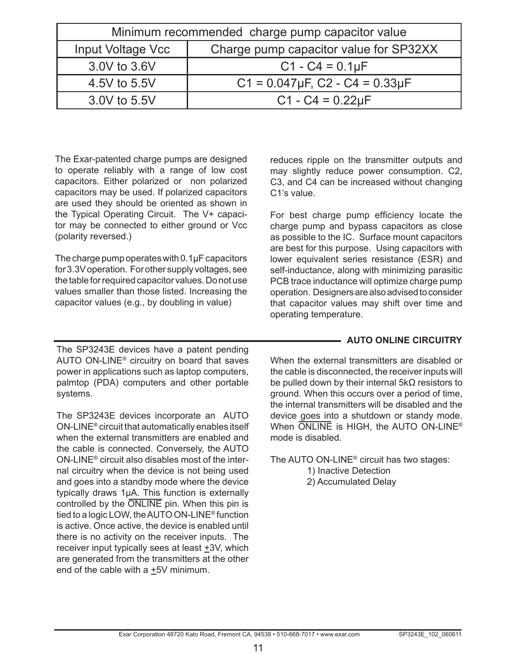| Minimum recommended charge pump capacitor value             |                                             |  |  |  |  |
|-------------------------------------------------------------|---------------------------------------------|--|--|--|--|
| Charge pump capacitor value for SP32XX<br>Input Voltage Vcc |                                             |  |  |  |  |
| 3.0V to 3.6V<br>$C1 - C4 = 0.1 \mu F$                       |                                             |  |  |  |  |
| 4.5V to 5.5V                                                | $C1 = 0.047 \mu F$ , $C2 - C4 = 0.33 \mu F$ |  |  |  |  |
| 3.0V to 5.5V                                                | $C1 - C4 = 0.22 \mu F$                      |  |  |  |  |

The Exar-patented charge pumps are designed to operate reliably with a range of low cost capacitors. Either polarized or non polarized capacitors may be used. If polarized capacitors are used they should be oriented as shown in the Typical Operating Circuit. The V+ capacitor may be connected to either ground or Vcc (polarity reversed.)

The charge pump operates with 0.1µF capacitors for 3.3V operation. For other supply voltages, see the table for required capacitor values. Do not use values smaller than those listed. Increasing the capacitor values (e.g., by doubling in value)

The SP3243E devices have a patent pending AUTO ON-LINE® circuitry on board that saves power in applications such as laptop computers, palmtop (PDA) computers and other portable systems.

The SP3243E devices incorporate an AUTO ON-LINE® circuit that automatically enables itself when the external transmitters are enabled and the cable is connected. Conversely, the AUTO ON-LINE® circuit also disables most of the internal circuitry when the device is not being used and goes into a standby mode where the device typically draws 1µA. This function is externally controlled by the ONLINE pin. When this pin is tied to a logic LOW, the AUTO ON-LINE® function is active. Once active, the device is enabled until there is no activity on the receiver inputs. The receiver input typically sees at least +3V, which are generated from the transmitters at the other end of the cable with a +5V minimum.

reduces ripple on the transmitter outputs and may slightly reduce power consumption. C2, C3, and C4 can be increased without changing C1's value.

For best charge pump efficiency locate the charge pump and bypass capacitors as close as possible to the IC. Surface mount capacitors are best for this purpose. Using capacitors with lower equivalent series resistance (ESR) and self-inductance, along with minimizing parasitic PCB trace inductance will optimize charge pump operation. Designers are also advised to consider that capacitor values may shift over time and operating temperature.

#### **AUTO ONLINE CIRCUITRY**

When the external transmitters are disabled or the cable is disconnected, the receiver inputs will be pulled down by their internal 5kΩ resistors to ground. When this occurs over a period of time, the internal transmitters will be disabled and the device goes into a shutdown or standy mode. When ONLINE is HIGH, the AUTO ON-LINE® mode is disabled.

The AUTO ON-LINE® circuit has two stages:

1) Inactive Detection 2) Accumulated Delay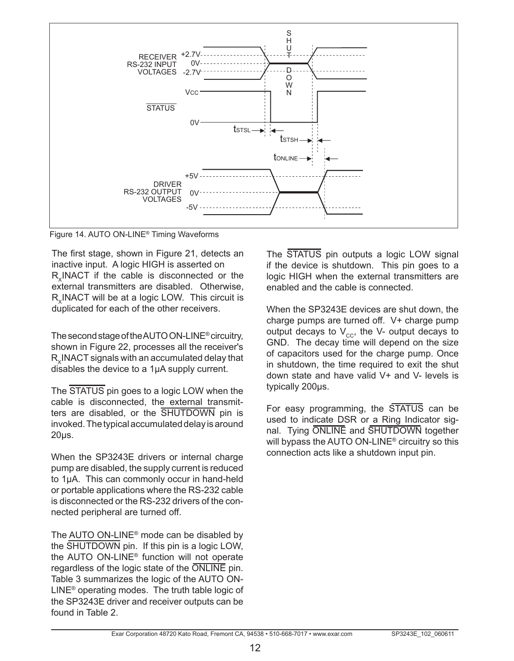

Figure 14. AUTO ON-LINE® Timing Waveforms

The first stage, shown in Figure 21, detects an inactive input. A logic HIGH is asserted on R. INACT if the cable is disconnected or the external transmitters are disabled. Otherwise, R. INACT will be at a logic LOW. This circuit is duplicated for each of the other receivers.

The second stage of the AUTO ON-LINE® circuitry, shown in Figure 22, processes all the receiver's R. INACT signals with an accumulated delay that disables the device to a 1µA supply current.

The STATUS pin goes to a logic LOW when the cable is disconnected, the external transmitters are disabled, or the SHUTDOWN pin is invoked. The typical accumulated delay is around 20µs.

When the SP3243E drivers or internal charge pump are disabled, the supply current is reduced to 1µA. This can commonly occur in hand-held or portable applications where the RS-232 cable is disconnected or the RS-232 drivers of the connected peripheral are turned off.

The AUTO ON-LINE® mode can be disabled by the SHUTDOWN pin. If this pin is a logic LOW, the AUTO ON-LINE® function will not operate regardless of the logic state of the ONLINE pin. Table 3 summarizes the logic of the AUTO ON-LINE® operating modes. The truth table logic of the SP3243E driver and receiver outputs can be found in Table 2.

The STATUS pin outputs a logic LOW signal if the device is shutdown. This pin goes to a logic HIGH when the external transmitters are enabled and the cable is connected.

When the SP3243E devices are shut down, the charge pumps are turned off. V+ charge pump output decays to  $V_{cc}$ , the V- output decays to GND. The decay time will depend on the size of capacitors used for the charge pump. Once in shutdown, the time required to exit the shut down state and have valid V+ and V- levels is typically 200µs.

For easy programming, the STATUS can be used to indicate DSR or a Ring Indicator signal. Tying ONLINE and SHUTDOWN together will bypass the AUTO ON-LINE® circuitry so this connection acts like a shutdown input pin.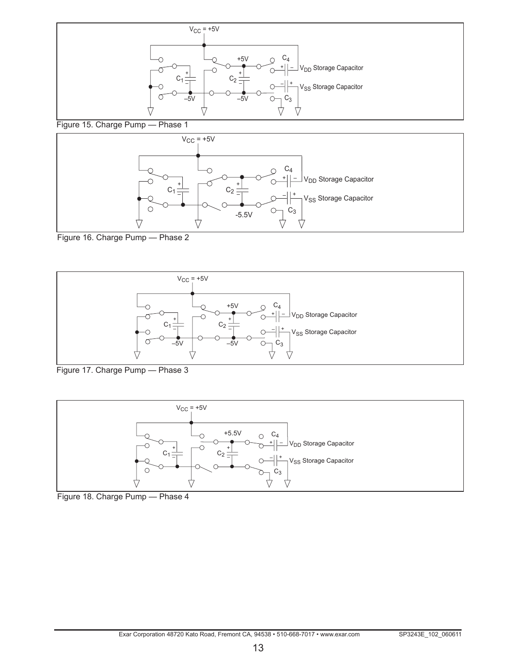



Figure 16. Charge Pump — Phase 2



Figure 17. Charge Pump — Phase 3



Figure 18. Charge Pump — Phase 4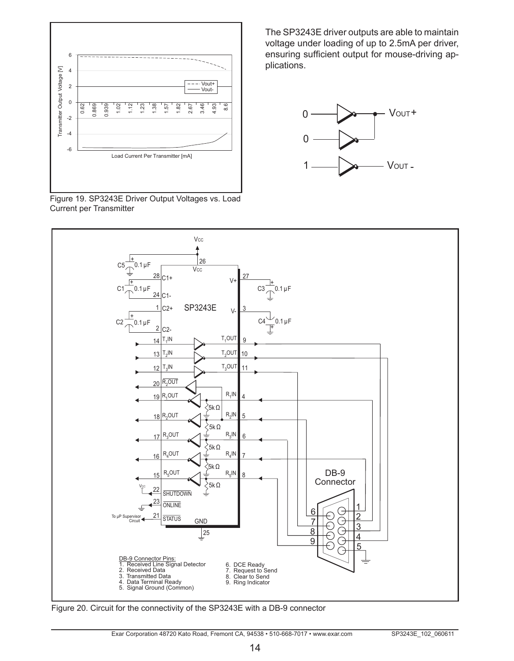



The SP3243E driver outputs are able to maintain voltage under loading of up to 2.5mA per driver, ensuring sufficient output for mouse-driving applications.





Figure 20. Circuit for the connectivity of the SP3243E with a DB-9 connector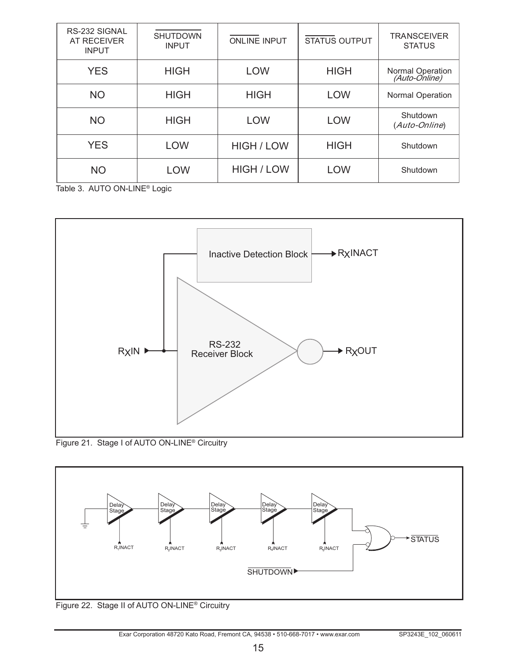| RS-232 SIGNAL<br>AT RECEIVER<br><b>INPUT</b> | <b>SHUTDOWN</b><br><b>INPUT</b> | <b>ONLINE INPUT</b> | <b>STATUS OUTPUT</b> | <b>TRANSCEIVER</b><br><b>STATUS</b> |
|----------------------------------------------|---------------------------------|---------------------|----------------------|-------------------------------------|
| <b>YES</b>                                   | <b>HIGH</b>                     | LOW                 | <b>HIGH</b>          | Normal Operation<br>(Auto-Online)   |
| <b>NO</b>                                    | <b>HIGH</b>                     | <b>HIGH</b>         | <b>LOW</b>           | <b>Normal Operation</b>             |
| <b>NO</b>                                    | <b>HIGH</b>                     | LOW                 | <b>LOW</b>           | Shutdown<br>(Auto-Online)           |
| <b>YES</b>                                   | LOW                             | <b>HIGH / LOW</b>   | <b>HIGH</b>          | Shutdown                            |
| <b>NO</b>                                    | LOW                             | HIGH / LOW          | LOW                  | Shutdown                            |

Table 3. AUTO ON-LINE® Logic



Figure 21. Stage I of AUTO ON-LINE® Circuitry



Figure 22. Stage II of AUTO ON-LINE® Circuitry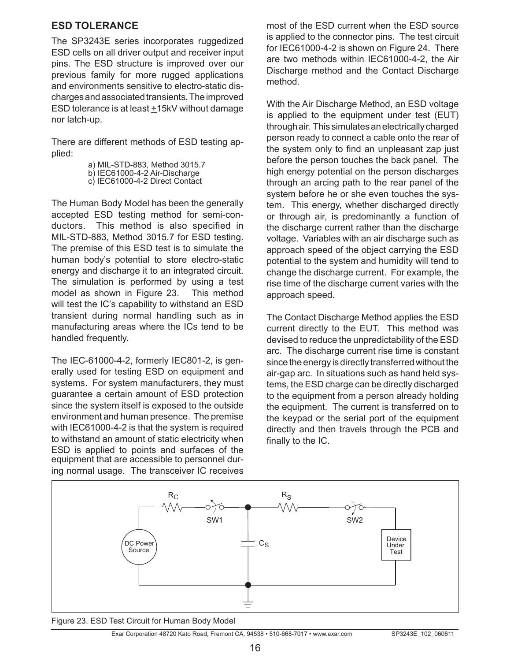#### **ESD Tolerance**

The SP3243E series incorporates ruggedized ESD cells on all driver output and receiver input pins. The ESD structure is improved over our previous family for more rugged applications and environments sensitive to electro-static discharges and associated transients. The improved ESD tolerance is at least  $±15kV$  without damage nor latch-up.

There are different methods of ESD testing applied:

> a) MIL-STD-883, Method 3015.7 b) IEC61000-4-2 Air-Discharge c) IEC61000-4-2 Direct Contact

The Human Body Model has been the generally accepted ESD testing method for semi-conductors. This method is also specified in MIL-STD-883, Method 3015.7 for ESD testing. The premise of this ESD test is to simulate the human body's potential to store electro-static energy and discharge it to an integrated circuit. The simulation is performed by using a test model as shown in Figure 23. This method will test the IC's capability to withstand an ESD transient during normal handling such as in manufacturing areas where the ICs tend to be handled frequently.

The IEC-61000-4-2, formerly IEC801-2, is generally used for testing ESD on equipment and systems. For system manufacturers, they must guarantee a certain amount of ESD protection since the system itself is exposed to the outside environment and human presence. The premise with IEC61000-4-2 is that the system is required to withstand an amount of static electricity when ESD is applied to points and surfaces of the equipment that are accessible to personnel during normal usage. The transceiver IC receives most of the ESD current when the ESD source is applied to the connector pins. The test circuit for IEC61000-4-2 is shown on Figure 24. There are two methods within IEC61000-4-2, the Air Discharge method and the Contact Discharge method.

With the Air Discharge Method, an ESD voltage is applied to the equipment under test (EUT) through air. This simulates an electrically charged person ready to connect a cable onto the rear of the system only to find an unpleasant zap just before the person touches the back panel. The high energy potential on the person discharges through an arcing path to the rear panel of the system before he or she even touches the system. This energy, whether discharged directly or through air, is predominantly a function of the discharge current rather than the discharge voltage. Variables with an air discharge such as approach speed of the object carrying the ESD potential to the system and humidity will tend to change the discharge current. For example, the rise time of the discharge current varies with the approach speed.

The Contact Discharge Method applies the ESD current directly to the EUT. This method was devised to reduce the unpredictability of the ESD arc. The discharge current rise time is constant since the energy is directly transferred without the air-gap arc. In situations such as hand held systems, the ESD charge can be directly discharged to the equipment from a person already holding the equipment. The current is transferred on to the keypad or the serial port of the equipment directly and then travels through the PCB and finally to the IC.



Figure 23. ESD Test Circuit for Human Body Model

Exar Corporation 48720 Kato Road, Fremont CA, 94538 • 510-668-7017 • www.exar.com SP3243E 102 060611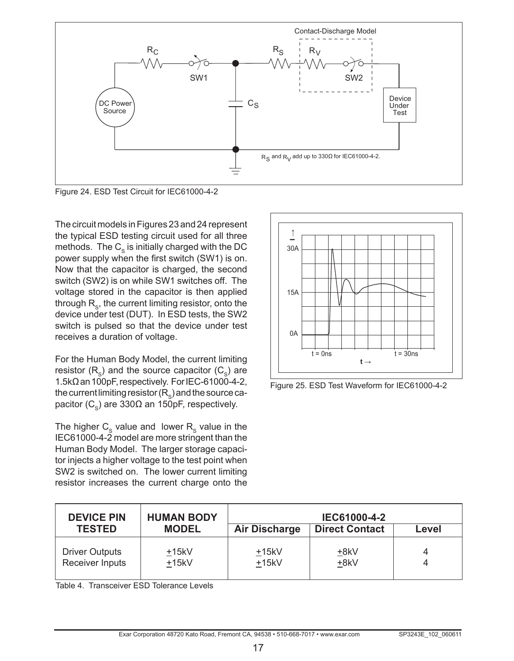

Figure 24. ESD Test Circuit for IEC61000-4-2

The circuit models in Figures 23 and 24 represent the typical ESD testing circuit used for all three methods. The  $C_{\rm s}$  is initially charged with the DC power supply when the first switch (SW1) is on. Now that the capacitor is charged, the second switch (SW2) is on while SW1 switches off. The voltage stored in the capacitor is then applied through  $R<sub>o</sub>$ , the current limiting resistor, onto the device under test (DUT). In ESD tests, the SW2 switch is pulsed so that the device under test receives a duration of voltage.

For the Human Body Model, the current limiting resistor  $(R_c)$  and the source capacitor  $(C_c)$  are  $1.5k\Omega$  an 100pF, respectively. For IEC-61000-4-2, the current limiting resistor  $(R<sub>s</sub>)$  and the source capacitor (C<sub>c</sub>) are 330Ω an 150pF, respectively.

The higher  $C_s$  value and lower  $R_s$  value in the IEC61000-4-2 model are more stringent than the Human Body Model. The larger storage capacitor injects a higher voltage to the test point when SW2 is switched on. The lower current limiting resistor increases the current charge onto the



Figure 25. ESD Test Waveform for IEC61000-4-2

| <b>DEVICE PIN</b><br><b>TESTED</b>       | <b>HUMAN BODY</b><br><b>MODEL</b> |                      | IEC61000-4-2<br><b>Direct Contact</b> |        |
|------------------------------------------|-----------------------------------|----------------------|---------------------------------------|--------|
|                                          |                                   | <b>Air Discharge</b> |                                       | Level  |
| <b>Driver Outputs</b><br>Receiver Inputs | $+15kV$<br>$+15kV$                | $+15kV$<br>$+15kV$   | +8kV<br>+8kV                          | 4<br>4 |

Table 4. Transceiver ESD Tolerance Levels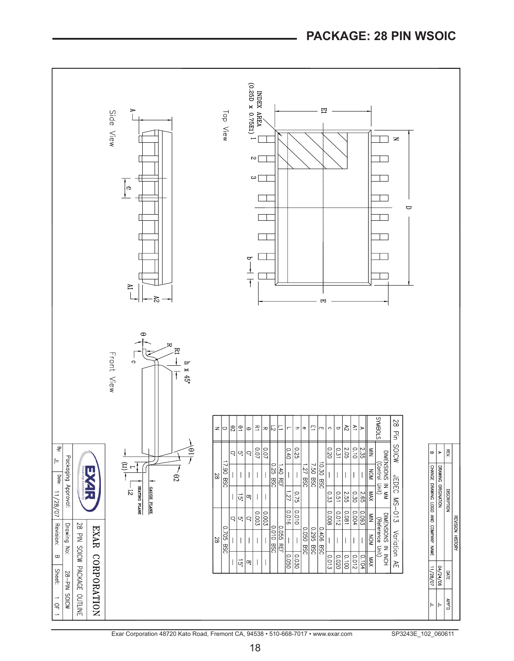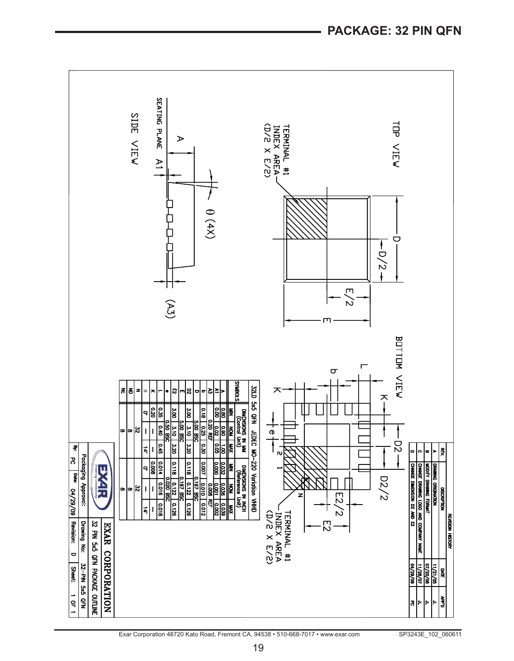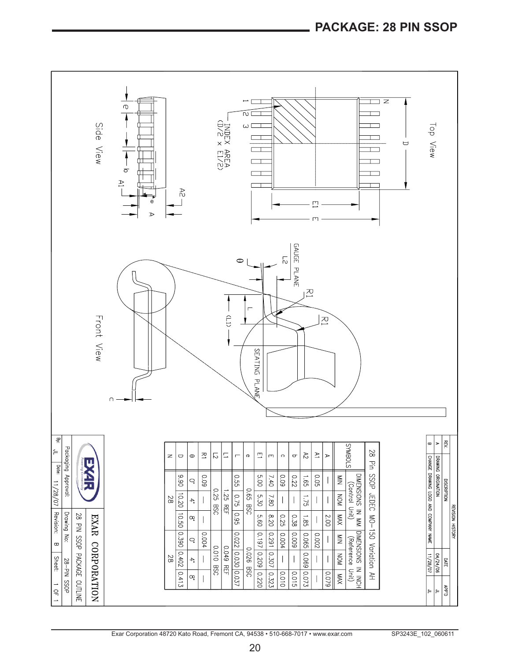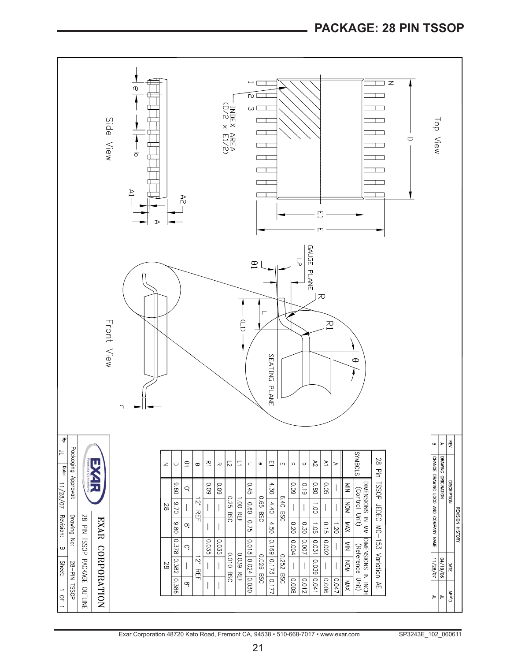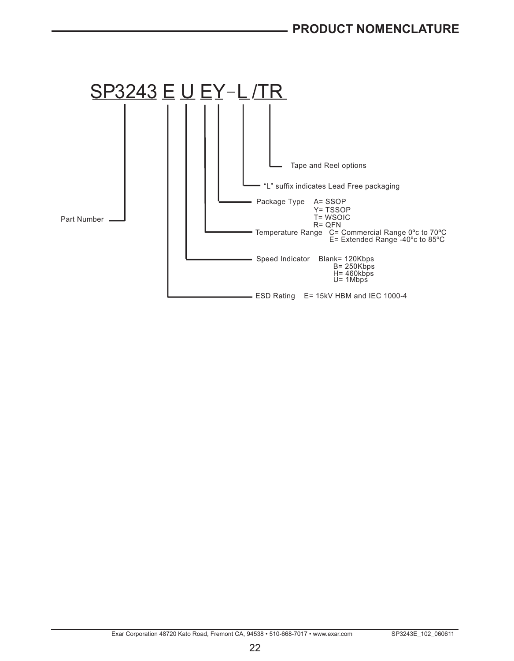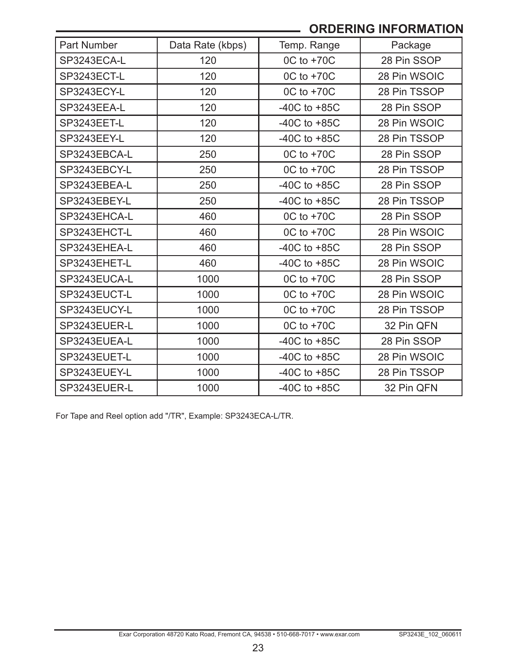# **ORDERING INFORMATION**

| Part Number  | Data Rate (kbps) | Temp. Range      | Package      |
|--------------|------------------|------------------|--------------|
| SP3243ECA-L  | 120              | 0C to +70C       | 28 Pin SSOP  |
| SP3243ECT-L  | 120              | 0C to +70C       | 28 Pin WSOIC |
| SP3243ECY-L  | 120              | 0C to +70C       | 28 Pin TSSOP |
| SP3243EEA-L  | 120              | $-40C$ to $+85C$ | 28 Pin SSOP  |
| SP3243EET-L  | 120              | $-40C$ to $+85C$ | 28 Pin WSOIC |
| SP3243EEY-L  | 120              | $-40C$ to $+85C$ | 28 Pin TSSOP |
| SP3243EBCA-L | 250              | 0C to +70C       | 28 Pin SSOP  |
| SP3243EBCY-L | 250              | 0C to +70C       | 28 Pin TSSOP |
| SP3243EBEA-L | 250              | $-40C$ to $+85C$ | 28 Pin SSOP  |
| SP3243EBEY-L | 250              | $-40C$ to $+85C$ | 28 Pin TSSOP |
| SP3243EHCA-L | 460              | 0C to +70C       | 28 Pin SSOP  |
| SP3243EHCT-L | 460              | 0C to +70C       | 28 Pin WSOIC |
| SP3243EHEA-L | 460              | $-40C$ to $+85C$ | 28 Pin SSOP  |
| SP3243EHET-L | 460              | $-40C$ to $+85C$ | 28 Pin WSOIC |
| SP3243EUCA-L | 1000             | 0C to +70C       | 28 Pin SSOP  |
| SP3243EUCT-L | 1000             | 0C to +70C       | 28 Pin WSOIC |
| SP3243EUCY-L | 1000             | 0C to +70C       | 28 Pin TSSOP |
| SP3243EUER-L | 1000             | 0C to +70C       | 32 Pin QFN   |
| SP3243EUEA-L | 1000             | $-40C$ to $+85C$ | 28 Pin SSOP  |
| SP3243EUET-L | 1000             | $-40C$ to $+85C$ | 28 Pin WSOIC |
| SP3243EUEY-L | 1000             | -40C to $+85C$   | 28 Pin TSSOP |
| SP3243EUER-L | 1000             | $-40C$ to $+85C$ | 32 Pin QFN   |

For Tape and Reel option add "/TR", Example: SP3243ECA-L/TR.